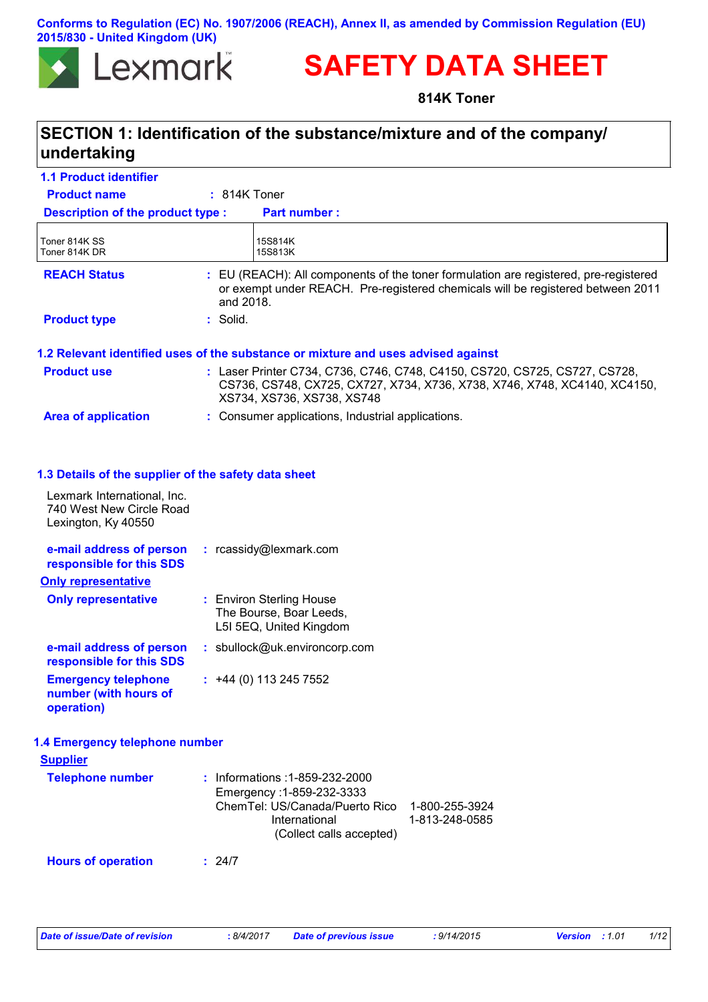### **Conforms to Regulation (EC) No. 1907/2006 (REACH), Annex II, as amended by Commission Regulation (EU) 2015/830 - United Kingdom (UK)**



# **SAFETY DATA SHEET**

**814K Toner**

# **SECTION 1: Identification of the substance/mixture and of the company/ undertaking**

| <b>1.1 Product identifier</b>                                                                                                          |                                                                                                                                                                                       |
|----------------------------------------------------------------------------------------------------------------------------------------|---------------------------------------------------------------------------------------------------------------------------------------------------------------------------------------|
| <b>Product name</b>                                                                                                                    | $: 814K$ Toner                                                                                                                                                                        |
| Description of the product type :                                                                                                      | <b>Part number:</b>                                                                                                                                                                   |
| Toner 814K SS<br>Toner 814K DR                                                                                                         | 15S814K<br>15S813K                                                                                                                                                                    |
| <b>REACH Status</b>                                                                                                                    | : EU (REACH): All components of the toner formulation are registered, pre-registered<br>or exempt under REACH. Pre-registered chemicals will be registered between 2011<br>and 2018.  |
| <b>Product type</b>                                                                                                                    | : Solid.                                                                                                                                                                              |
|                                                                                                                                        | 1.2 Relevant identified uses of the substance or mixture and uses advised against                                                                                                     |
| <b>Product use</b>                                                                                                                     | : Laser Printer C734, C736, C746, C748, C4150, CS720, CS725, CS727, CS728,<br>CS736, CS748, CX725, CX727, X734, X736, X738, X746, X748, XC4140, XC4150,<br>XS734, XS736, XS738, XS748 |
| <b>Area of application</b>                                                                                                             | : Consumer applications, Industrial applications.                                                                                                                                     |
| 1.3 Details of the supplier of the safety data sheet<br>Lexmark International, Inc.<br>740 West New Circle Road<br>Lexington, Ky 40550 |                                                                                                                                                                                       |
| e-mail address of person<br>responsible for this SDS                                                                                   | : rcassidy@lexmark.com                                                                                                                                                                |
| <b>Only representative</b>                                                                                                             |                                                                                                                                                                                       |
| <b>Only representative</b>                                                                                                             | : Environ Sterling House<br>The Bourse, Boar Leeds,<br>L5I 5EQ, United Kingdom                                                                                                        |
| e-mail address of person<br>responsible for this SDS                                                                                   | : sbullock@uk.environcorp.com                                                                                                                                                         |
| <b>Emergency telephone</b><br>number (with hours of<br>operation)                                                                      | $: +44(0)$ 113 245 7552                                                                                                                                                               |
| 1.4 Emergency telephone number                                                                                                         |                                                                                                                                                                                       |
| <b>Supplier</b>                                                                                                                        |                                                                                                                                                                                       |
| <b>Telephone number</b>                                                                                                                | : Informations : 1-859-232-2000<br>Emergency: 1-859-232-3333<br>ChemTel: US/Canada/Puerto Rico<br>1-800-255-3924<br>International<br>1-813-248-0585<br>(Collect calls accepted)       |
|                                                                                                                                        |                                                                                                                                                                                       |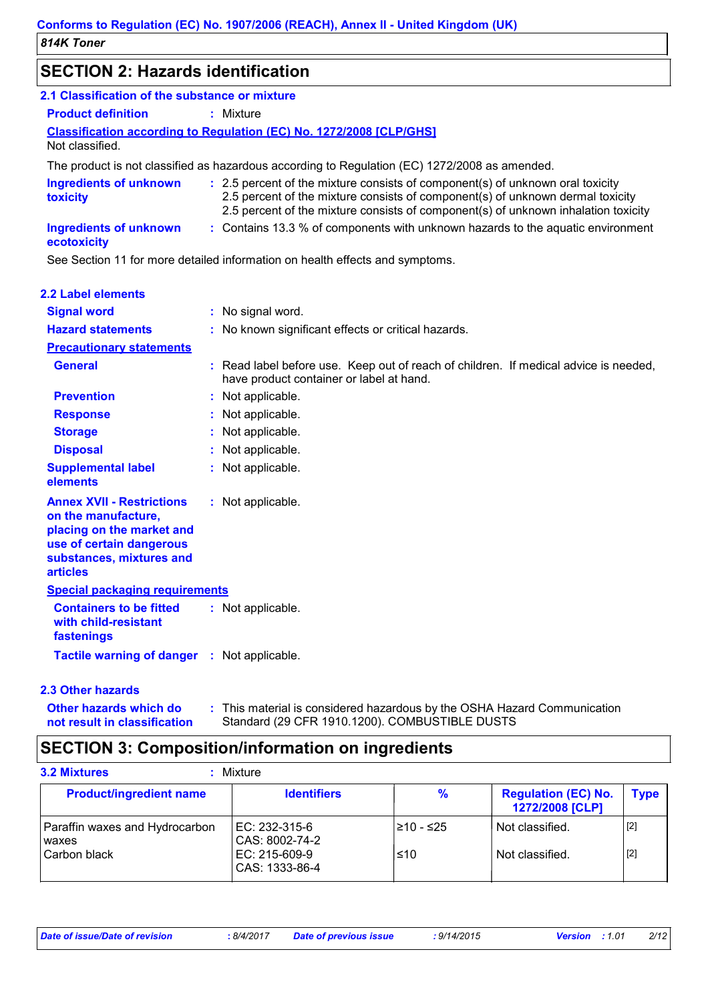# **SECTION 2: Hazards identification**

| 2.1 Classification of the substance or mixture                                                                                                                  |                                                                                                                                                                                                                                                        |
|-----------------------------------------------------------------------------------------------------------------------------------------------------------------|--------------------------------------------------------------------------------------------------------------------------------------------------------------------------------------------------------------------------------------------------------|
| <b>Product definition</b>                                                                                                                                       | : Mixture                                                                                                                                                                                                                                              |
| Not classified.                                                                                                                                                 | <b>Classification according to Regulation (EC) No. 1272/2008 [CLP/GHS]</b>                                                                                                                                                                             |
|                                                                                                                                                                 | The product is not classified as hazardous according to Regulation (EC) 1272/2008 as amended.                                                                                                                                                          |
| <b>Ingredients of unknown</b><br>toxicity                                                                                                                       | : 2.5 percent of the mixture consists of component(s) of unknown oral toxicity<br>2.5 percent of the mixture consists of component(s) of unknown dermal toxicity<br>2.5 percent of the mixture consists of component(s) of unknown inhalation toxicity |
| <b>Ingredients of unknown</b><br>ecotoxicity                                                                                                                    | : Contains 13.3 % of components with unknown hazards to the aquatic environment                                                                                                                                                                        |
|                                                                                                                                                                 | See Section 11 for more detailed information on health effects and symptoms.                                                                                                                                                                           |
| 2.2 Label elements                                                                                                                                              |                                                                                                                                                                                                                                                        |
| <b>Signal word</b>                                                                                                                                              | : No signal word.                                                                                                                                                                                                                                      |
| <b>Hazard statements</b>                                                                                                                                        | : No known significant effects or critical hazards.                                                                                                                                                                                                    |
| <b>Precautionary statements</b>                                                                                                                                 |                                                                                                                                                                                                                                                        |
| General                                                                                                                                                         | : Read label before use. Keep out of reach of children. If medical advice is needed,<br>have product container or label at hand.                                                                                                                       |
| <b>Prevention</b>                                                                                                                                               | : Not applicable.                                                                                                                                                                                                                                      |
| <b>Response</b>                                                                                                                                                 | Not applicable.                                                                                                                                                                                                                                        |
| <b>Storage</b>                                                                                                                                                  | Not applicable.                                                                                                                                                                                                                                        |
| <b>Disposal</b>                                                                                                                                                 | Not applicable.                                                                                                                                                                                                                                        |
| <b>Supplemental label</b><br>elements                                                                                                                           | Not applicable.                                                                                                                                                                                                                                        |
| <b>Annex XVII - Restrictions</b><br>on the manufacture,<br>placing on the market and<br>use of certain dangerous<br>substances, mixtures and<br><b>articles</b> | : Not applicable.                                                                                                                                                                                                                                      |
| <b>Special packaging requirements</b>                                                                                                                           |                                                                                                                                                                                                                                                        |
| <b>Containers to be fitted</b><br>with child-resistant<br>fastenings                                                                                            | : Not applicable.                                                                                                                                                                                                                                      |

### **2.3 Other hazards**

**Other hazards which do : not result in classification** This material is considered hazardous by the OSHA Hazard Communication Standard (29 CFR 1910.1200). COMBUSTIBLE DUSTS

# **SECTION 3: Composition/information on ingredients**

**Tactile warning of danger : Not applicable.** 

| <b>3.2 Mixtures</b>                     | Mixture                         |            |                                               |             |
|-----------------------------------------|---------------------------------|------------|-----------------------------------------------|-------------|
| <b>Product/ingredient name</b>          | <b>Identifiers</b>              | %          | <b>Regulation (EC) No.</b><br>1272/2008 [CLP] | <b>Type</b> |
| Paraffin waxes and Hydrocarbon<br>waxes | EC: 232-315-6<br>CAS: 8002-74-2 | l≥10 - ≤25 | Not classified.                               | $[2]$       |
| Carbon black                            | EC: 215-609-9<br>CAS: 1333-86-4 | ≤10        | Not classified.                               | $[2]$       |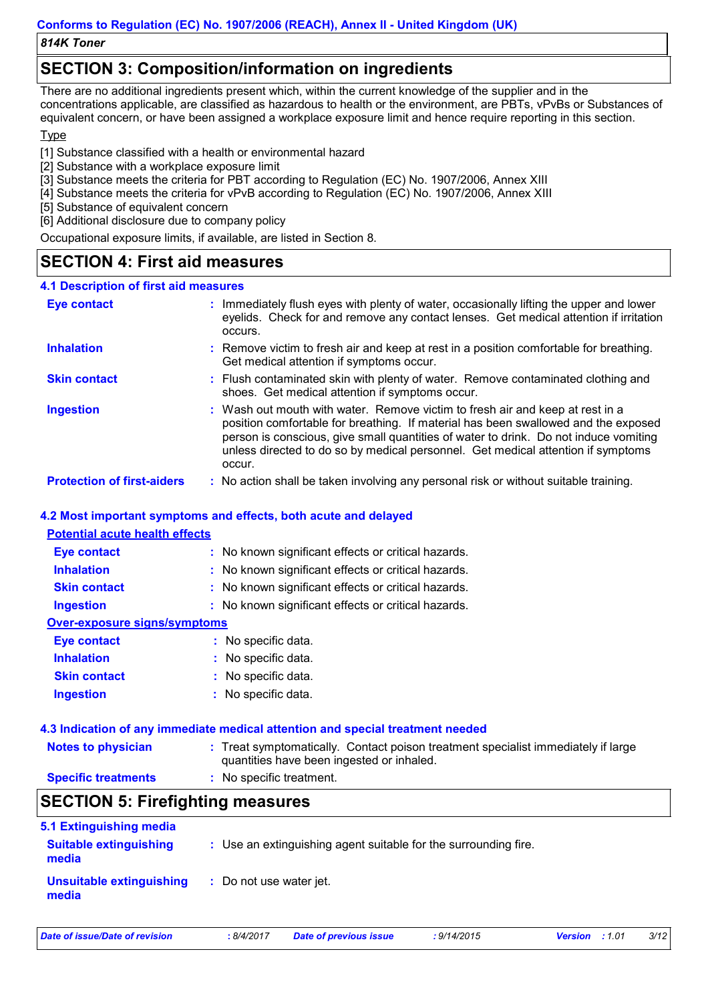*814K Toner*

# **SECTION 3: Composition/information on ingredients**

There are no additional ingredients present which, within the current knowledge of the supplier and in the concentrations applicable, are classified as hazardous to health or the environment, are PBTs, vPvBs or Substances of equivalent concern, or have been assigned a workplace exposure limit and hence require reporting in this section.

### **Type**

[1] Substance classified with a health or environmental hazard

- [2] Substance with a workplace exposure limit
- [3] Substance meets the criteria for PBT according to Regulation (EC) No. 1907/2006, Annex XIII
- [4] Substance meets the criteria for vPvB according to Regulation (EC) No. 1907/2006, Annex XIII
- [5] Substance of equivalent concern
- [6] Additional disclosure due to company policy

Occupational exposure limits, if available, are listed in Section 8.

# **SECTION 4: First aid measures**

#### **:** Immediately flush eyes with plenty of water, occasionally lifting the upper and lower **4.1 Description of first aid measures Eye contact**

|                                   | occurs. | eyelids. Check for and remove any contact lenses. Get medical attention if irritation                                                                                                                                                                                                                                                           |
|-----------------------------------|---------|-------------------------------------------------------------------------------------------------------------------------------------------------------------------------------------------------------------------------------------------------------------------------------------------------------------------------------------------------|
| <b>Inhalation</b>                 |         | : Remove victim to fresh air and keep at rest in a position comfortable for breathing.<br>Get medical attention if symptoms occur.                                                                                                                                                                                                              |
| <b>Skin contact</b>               |         | : Flush contaminated skin with plenty of water. Remove contaminated clothing and<br>shoes. Get medical attention if symptoms occur.                                                                                                                                                                                                             |
| <b>Ingestion</b>                  | occur.  | : Wash out mouth with water. Remove victim to fresh air and keep at rest in a<br>position comfortable for breathing. If material has been swallowed and the exposed<br>person is conscious, give small quantities of water to drink. Do not induce vomiting<br>unless directed to do so by medical personnel. Get medical attention if symptoms |
| <b>Protection of first-aiders</b> |         | : No action shall be taken involving any personal risk or without suitable training.                                                                                                                                                                                                                                                            |

### **4.2 Most important symptoms and effects, both acute and delayed**

### **Potential acute health effects**

| <b>Eye contact</b>           | : No known significant effects or critical hazards. |
|------------------------------|-----------------------------------------------------|
| <b>Inhalation</b>            | : No known significant effects or critical hazards. |
| <b>Skin contact</b>          | : No known significant effects or critical hazards. |
| <b>Ingestion</b>             | : No known significant effects or critical hazards. |
| Over-exposure signs/symptoms |                                                     |
| <b>Eye contact</b>           | : No specific data.                                 |
| <b>Inhalation</b>            | : No specific data.                                 |
| <b>Skin contact</b>          | : No specific data.                                 |
| <b>Ingestion</b>             | : No specific data.                                 |

### **4.3 Indication of any immediate medical attention and special treatment needed**

| <b>Notes to physician</b>  | : Treat symptomatically. Contact poison treatment specialist immediately if large<br>quantities have been ingested or inhaled. |
|----------------------------|--------------------------------------------------------------------------------------------------------------------------------|
| <b>Specific treatments</b> | : No specific treatment.                                                                                                       |

## **SECTION 5: Firefighting measures**

| 5.1 Extinguishing media                |                                                                 |
|----------------------------------------|-----------------------------------------------------------------|
| <b>Suitable extinguishing</b><br>media | : Use an extinguishing agent suitable for the surrounding fire. |
| Unsuitable extinguishing<br>media      | : Do not use water jet.                                         |

*Date of issue/Date of revision* **:** *8/4/2017 Date of previous issue : 9/14/2015 Version : 1.01 3/12*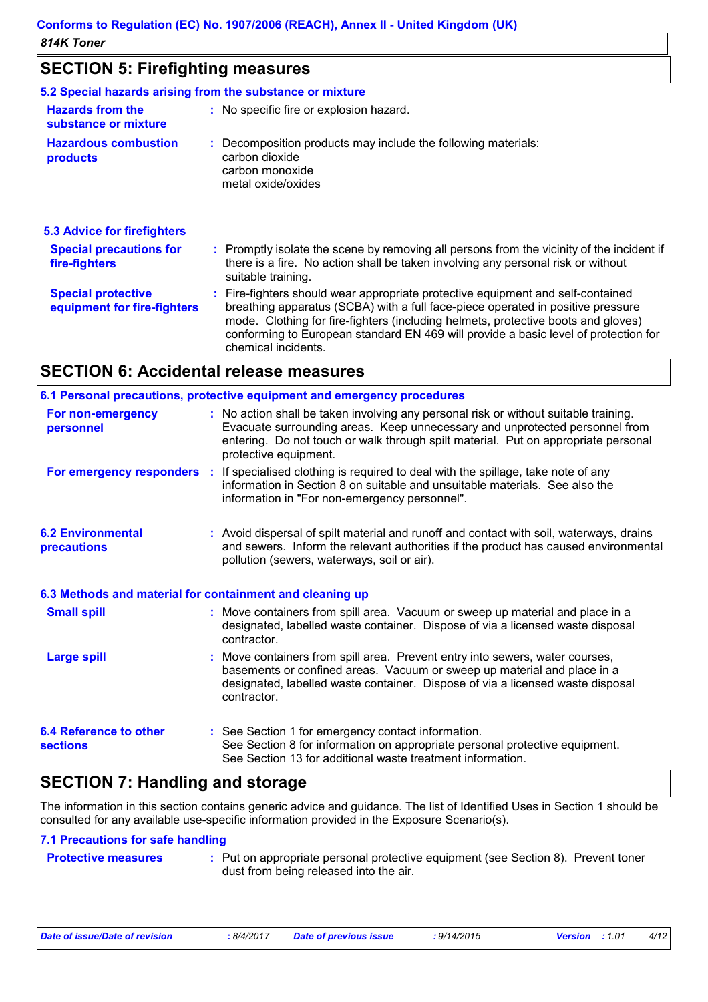# **SECTION 5: Firefighting measures**

| 5.2 Special hazards arising from the substance or mixture |                                                                                                                                                                                                                                                                                                                                                                       |
|-----------------------------------------------------------|-----------------------------------------------------------------------------------------------------------------------------------------------------------------------------------------------------------------------------------------------------------------------------------------------------------------------------------------------------------------------|
| <b>Hazards from the</b><br>substance or mixture           | : No specific fire or explosion hazard.                                                                                                                                                                                                                                                                                                                               |
| <b>Hazardous combustion</b><br>products                   | : Decomposition products may include the following materials:<br>carbon dioxide<br>carbon monoxide<br>metal oxide/oxides                                                                                                                                                                                                                                              |
| 5.3 Advice for firefighters                               |                                                                                                                                                                                                                                                                                                                                                                       |
| <b>Special precautions for</b><br>fire-fighters           | : Promptly isolate the scene by removing all persons from the vicinity of the incident if<br>there is a fire. No action shall be taken involving any personal risk or without<br>suitable training.                                                                                                                                                                   |
| <b>Special protective</b><br>equipment for fire-fighters  | : Fire-fighters should wear appropriate protective equipment and self-contained<br>breathing apparatus (SCBA) with a full face-piece operated in positive pressure<br>mode. Clothing for fire-fighters (including helmets, protective boots and gloves)<br>conforming to European standard EN 469 will provide a basic level of protection for<br>chemical incidents. |

### **SECTION 6: Accidental release measures**

|                                                          | 6.1 Personal precautions, protective equipment and emergency procedures                                                                                                                                                                                                            |
|----------------------------------------------------------|------------------------------------------------------------------------------------------------------------------------------------------------------------------------------------------------------------------------------------------------------------------------------------|
| For non-emergency<br>personnel                           | : No action shall be taken involving any personal risk or without suitable training.<br>Evacuate surrounding areas. Keep unnecessary and unprotected personnel from<br>entering. Do not touch or walk through spilt material. Put on appropriate personal<br>protective equipment. |
|                                                          | For emergency responders : If specialised clothing is required to deal with the spillage, take note of any<br>information in Section 8 on suitable and unsuitable materials. See also the<br>information in "For non-emergency personnel".                                         |
| <b>6.2 Environmental</b><br>precautions                  | : Avoid dispersal of spilt material and runoff and contact with soil, waterways, drains<br>and sewers. Inform the relevant authorities if the product has caused environmental<br>pollution (sewers, waterways, soil or air).                                                      |
| 6.3 Methods and material for containment and cleaning up |                                                                                                                                                                                                                                                                                    |
| <b>Small spill</b>                                       | : Move containers from spill area. Vacuum or sweep up material and place in a<br>designated, labelled waste container. Dispose of via a licensed waste disposal<br>contractor.                                                                                                     |
| <b>Large spill</b>                                       | : Move containers from spill area. Prevent entry into sewers, water courses,<br>basements or confined areas. Vacuum or sweep up material and place in a<br>designated, labelled waste container. Dispose of via a licensed waste disposal<br>contractor.                           |
| <b>6.4 Reference to other</b><br><b>sections</b>         | : See Section 1 for emergency contact information.<br>See Section 8 for information on appropriate personal protective equipment.<br>See Section 13 for additional waste treatment information.                                                                                    |

# **SECTION 7: Handling and storage**

The information in this section contains generic advice and guidance. The list of Identified Uses in Section 1 should be consulted for any available use-specific information provided in the Exposure Scenario(s).

### **7.1 Precautions for safe handling**

**Protective measures : Put on appropriate personal protective equipment (see Section 8). Prevent toner** dust from being released into the air.

|  | Date of issue/Date of revision |  |  |
|--|--------------------------------|--|--|
|  |                                |  |  |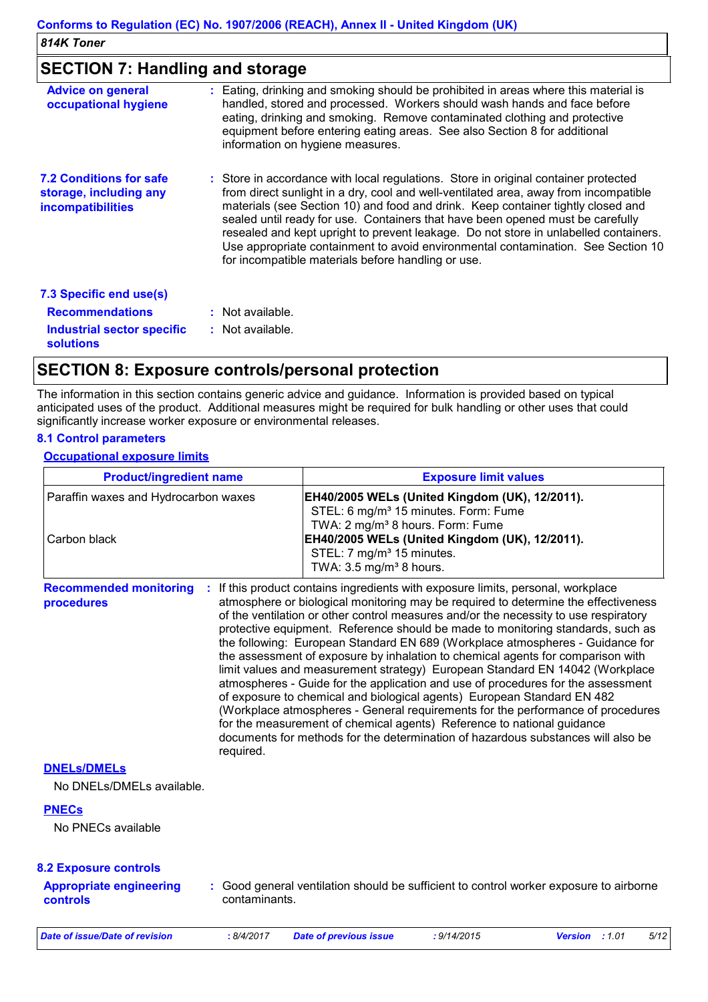# **SECTION 7: Handling and storage**

| : Eating, drinking and smoking should be prohibited in areas where this material is<br>handled, stored and processed. Workers should wash hands and face before<br>eating, drinking and smoking. Remove contaminated clothing and protective<br>equipment before entering eating areas. See also Section 8 for additional<br>information on hygiene measures.                                                                                                                                                                                                                       |
|-------------------------------------------------------------------------------------------------------------------------------------------------------------------------------------------------------------------------------------------------------------------------------------------------------------------------------------------------------------------------------------------------------------------------------------------------------------------------------------------------------------------------------------------------------------------------------------|
| : Store in accordance with local regulations. Store in original container protected<br>from direct sunlight in a dry, cool and well-ventilated area, away from incompatible<br>materials (see Section 10) and food and drink. Keep container tightly closed and<br>sealed until ready for use. Containers that have been opened must be carefully<br>resealed and kept upright to prevent leakage. Do not store in unlabelled containers.<br>Use appropriate containment to avoid environmental contamination. See Section 10<br>for incompatible materials before handling or use. |
|                                                                                                                                                                                                                                                                                                                                                                                                                                                                                                                                                                                     |
| : Not available.                                                                                                                                                                                                                                                                                                                                                                                                                                                                                                                                                                    |
| : Not available.                                                                                                                                                                                                                                                                                                                                                                                                                                                                                                                                                                    |
|                                                                                                                                                                                                                                                                                                                                                                                                                                                                                                                                                                                     |

# **SECTION 8: Exposure controls/personal protection**

The information in this section contains generic advice and guidance. Information is provided based on typical anticipated uses of the product. Additional measures might be required for bulk handling or other uses that could significantly increase worker exposure or environmental releases.

### **8.1 Control parameters**

 $\mathbf{r}$ 

### **Occupational exposure limits**

| <b>Product/ingredient name</b>                       |               |                                                                                                                                                                                                                                                                                                                                                                                                                                                                                                                                                                                                                                                                                                                                                                                                                                                                                                                                                                                                                     | <b>Exposure limit values</b> |                |  |      |  |
|------------------------------------------------------|---------------|---------------------------------------------------------------------------------------------------------------------------------------------------------------------------------------------------------------------------------------------------------------------------------------------------------------------------------------------------------------------------------------------------------------------------------------------------------------------------------------------------------------------------------------------------------------------------------------------------------------------------------------------------------------------------------------------------------------------------------------------------------------------------------------------------------------------------------------------------------------------------------------------------------------------------------------------------------------------------------------------------------------------|------------------------------|----------------|--|------|--|
| Paraffin waxes and Hydrocarbon waxes<br>Carbon black |               | EH40/2005 WELs (United Kingdom (UK), 12/2011).<br>STEL: 6 mg/m <sup>3</sup> 15 minutes. Form: Fume<br>TWA: 2 mg/m <sup>3</sup> 8 hours. Form: Fume<br>EH40/2005 WELs (United Kingdom (UK), 12/2011).<br>STEL: 7 mg/m <sup>3</sup> 15 minutes.<br>TWA: 3.5 mg/m <sup>3</sup> 8 hours.                                                                                                                                                                                                                                                                                                                                                                                                                                                                                                                                                                                                                                                                                                                                |                              |                |  |      |  |
| <b>Recommended monitoring</b><br>procedures          | required.     | If this product contains ingredients with exposure limits, personal, workplace<br>atmosphere or biological monitoring may be required to determine the effectiveness<br>of the ventilation or other control measures and/or the necessity to use respiratory<br>protective equipment. Reference should be made to monitoring standards, such as<br>the following: European Standard EN 689 (Workplace atmospheres - Guidance for<br>the assessment of exposure by inhalation to chemical agents for comparison with<br>limit values and measurement strategy) European Standard EN 14042 (Workplace<br>atmospheres - Guide for the application and use of procedures for the assessment<br>of exposure to chemical and biological agents) European Standard EN 482<br>(Workplace atmospheres - General requirements for the performance of procedures<br>for the measurement of chemical agents) Reference to national guidance<br>documents for methods for the determination of hazardous substances will also be |                              |                |  |      |  |
| <b>DNELS/DMELS</b><br>No DNELs/DMELs available.      |               |                                                                                                                                                                                                                                                                                                                                                                                                                                                                                                                                                                                                                                                                                                                                                                                                                                                                                                                                                                                                                     |                              |                |  |      |  |
| <b>PNECs</b><br>No PNECs available                   |               |                                                                                                                                                                                                                                                                                                                                                                                                                                                                                                                                                                                                                                                                                                                                                                                                                                                                                                                                                                                                                     |                              |                |  |      |  |
| <b>8.2 Exposure controls</b>                         |               |                                                                                                                                                                                                                                                                                                                                                                                                                                                                                                                                                                                                                                                                                                                                                                                                                                                                                                                                                                                                                     |                              |                |  |      |  |
| <b>Appropriate engineering</b><br>controls           | contaminants. | : Good general ventilation should be sufficient to control worker exposure to airborne                                                                                                                                                                                                                                                                                                                                                                                                                                                                                                                                                                                                                                                                                                                                                                                                                                                                                                                              |                              |                |  |      |  |
| <b>Date of issue/Date of revision</b>                | : 8/4/2017    | <b>Date of previous issue</b>                                                                                                                                                                                                                                                                                                                                                                                                                                                                                                                                                                                                                                                                                                                                                                                                                                                                                                                                                                                       | : 9/14/2015                  | Version : 1.01 |  | 5/12 |  |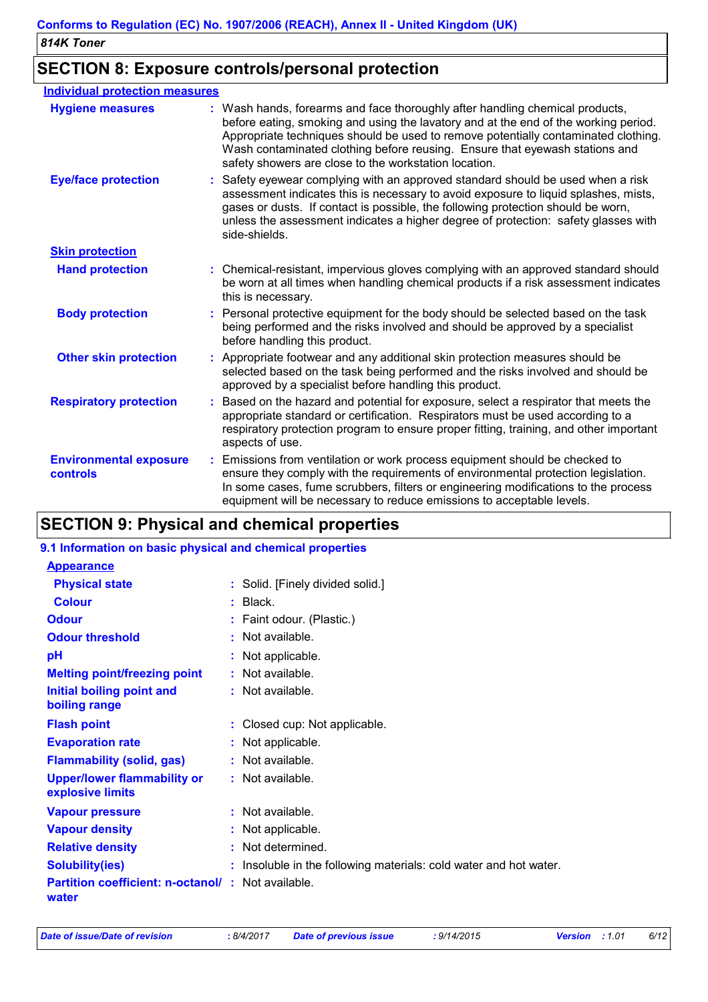# **SECTION 8: Exposure controls/personal protection**

| <b>Individual protection measures</b>            |                                                                                                                                                                                                                                                                                                                                                                                                   |
|--------------------------------------------------|---------------------------------------------------------------------------------------------------------------------------------------------------------------------------------------------------------------------------------------------------------------------------------------------------------------------------------------------------------------------------------------------------|
| <b>Hygiene measures</b>                          | : Wash hands, forearms and face thoroughly after handling chemical products,<br>before eating, smoking and using the lavatory and at the end of the working period.<br>Appropriate techniques should be used to remove potentially contaminated clothing.<br>Wash contaminated clothing before reusing. Ensure that eyewash stations and<br>safety showers are close to the workstation location. |
| <b>Eye/face protection</b>                       | Safety eyewear complying with an approved standard should be used when a risk<br>assessment indicates this is necessary to avoid exposure to liquid splashes, mists,<br>gases or dusts. If contact is possible, the following protection should be worn,<br>unless the assessment indicates a higher degree of protection: safety glasses with<br>side-shields.                                   |
| <b>Skin protection</b>                           |                                                                                                                                                                                                                                                                                                                                                                                                   |
| <b>Hand protection</b>                           | : Chemical-resistant, impervious gloves complying with an approved standard should<br>be worn at all times when handling chemical products if a risk assessment indicates<br>this is necessary.                                                                                                                                                                                                   |
| <b>Body protection</b>                           | Personal protective equipment for the body should be selected based on the task<br>being performed and the risks involved and should be approved by a specialist<br>before handling this product.                                                                                                                                                                                                 |
| <b>Other skin protection</b>                     | Appropriate footwear and any additional skin protection measures should be<br>selected based on the task being performed and the risks involved and should be<br>approved by a specialist before handling this product.                                                                                                                                                                           |
| <b>Respiratory protection</b>                    | Based on the hazard and potential for exposure, select a respirator that meets the<br>appropriate standard or certification. Respirators must be used according to a<br>respiratory protection program to ensure proper fitting, training, and other important<br>aspects of use.                                                                                                                 |
| <b>Environmental exposure</b><br><b>controls</b> | Emissions from ventilation or work process equipment should be checked to<br>÷<br>ensure they comply with the requirements of environmental protection legislation.<br>In some cases, fume scrubbers, filters or engineering modifications to the process<br>equipment will be necessary to reduce emissions to acceptable levels.                                                                |

# **SECTION 9: Physical and chemical properties**

| 9.1 Information on basic physical and chemical properties         |                                                                   |
|-------------------------------------------------------------------|-------------------------------------------------------------------|
| <b>Appearance</b>                                                 |                                                                   |
| <b>Physical state</b>                                             | : Solid. [Finely divided solid.]                                  |
| <b>Colour</b>                                                     | $:$ Black.                                                        |
| <b>Odour</b>                                                      | : Faint odour. (Plastic.)                                         |
| <b>Odour threshold</b>                                            | : Not available.                                                  |
| pH                                                                | : Not applicable.                                                 |
| <b>Melting point/freezing point</b>                               | : Not available.                                                  |
| Initial boiling point and<br>boiling range                        | : Not available.                                                  |
| <b>Flash point</b>                                                | : Closed cup: Not applicable.                                     |
| <b>Evaporation rate</b>                                           | : Not applicable.                                                 |
| <b>Flammability (solid, gas)</b>                                  | : Not available.                                                  |
| <b>Upper/lower flammability or</b><br>explosive limits            | : Not available.                                                  |
| <b>Vapour pressure</b>                                            | $:$ Not available.                                                |
| <b>Vapour density</b>                                             | : Not applicable.                                                 |
| <b>Relative density</b>                                           | : Not determined.                                                 |
| <b>Solubility(ies)</b>                                            | : Insoluble in the following materials: cold water and hot water. |
| <b>Partition coefficient: n-octanol/: Not available.</b><br>water |                                                                   |
|                                                                   |                                                                   |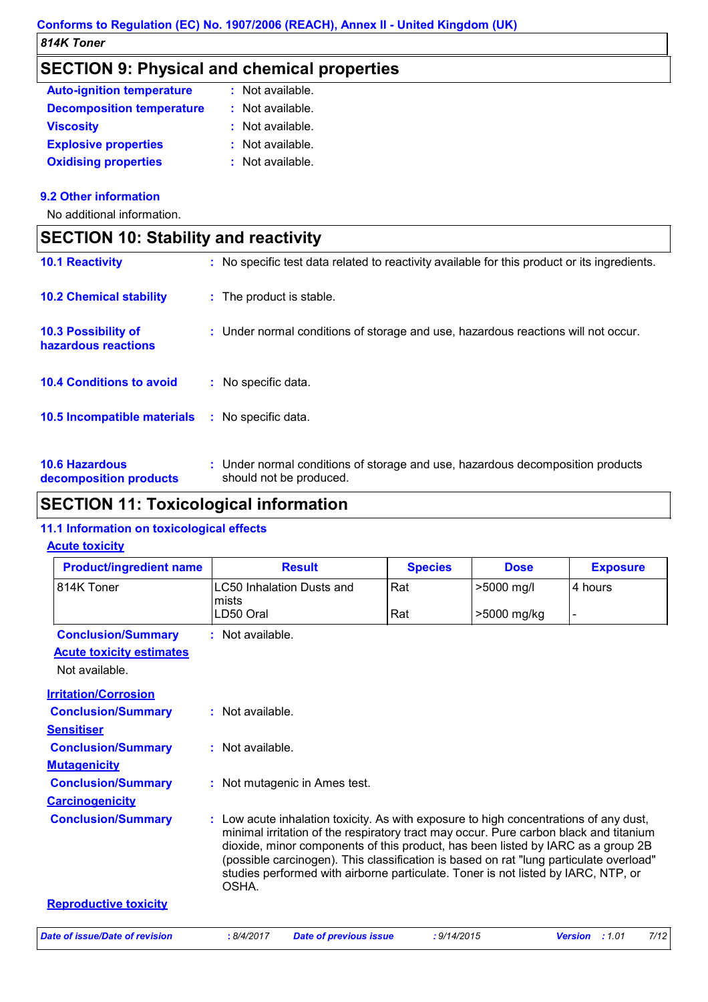# **SECTION 9: Physical and chemical properties**

| <b>Auto-ignition temperature</b> | $:$ Not available. |
|----------------------------------|--------------------|
| <b>Decomposition temperature</b> | : Not available.   |
| <b>Viscosity</b>                 | : Not available.   |
| <b>Explosive properties</b>      | : Not available.   |
| <b>Oxidising properties</b>      | : Not available.   |

### **9.2 Other information**

 $\mathbf{I}$ 

No additional information.

| <b>SECTION 10: Stability and reactivity</b>       |                                                                                                           |  |
|---------------------------------------------------|-----------------------------------------------------------------------------------------------------------|--|
| <b>10.1 Reactivity</b>                            | : No specific test data related to reactivity available for this product or its ingredients.              |  |
| <b>10.2 Chemical stability</b>                    | : The product is stable.                                                                                  |  |
| <b>10.3 Possibility of</b><br>hazardous reactions | : Under normal conditions of storage and use, hazardous reactions will not occur.                         |  |
| <b>10.4 Conditions to avoid</b>                   | : No specific data.                                                                                       |  |
| 10.5 Incompatible materials                       | : No specific data.                                                                                       |  |
| <b>10.6 Hazardous</b><br>decomposition products   | : Under normal conditions of storage and use, hazardous decomposition products<br>should not be produced. |  |

# **SECTION 11: Toxicological information**

### **11.1 Information on toxicological effects**

### **Acute toxicity**

| <b>Product/ingredient name</b>  | <b>Result</b>                                                                                                                                                                                                                                                                                                                                                                                                                                              | <b>Species</b> | <b>Dose</b> | <b>Exposure</b> |
|---------------------------------|------------------------------------------------------------------------------------------------------------------------------------------------------------------------------------------------------------------------------------------------------------------------------------------------------------------------------------------------------------------------------------------------------------------------------------------------------------|----------------|-------------|-----------------|
| 814K Toner                      | LC50 Inhalation Dusts and<br>mists                                                                                                                                                                                                                                                                                                                                                                                                                         | Rat            | >5000 mg/l  | 4 hours         |
|                                 | LD50 Oral                                                                                                                                                                                                                                                                                                                                                                                                                                                  | Rat            | >5000 mg/kg |                 |
| <b>Conclusion/Summary</b>       | $:$ Not available.                                                                                                                                                                                                                                                                                                                                                                                                                                         |                |             |                 |
| <b>Acute toxicity estimates</b> |                                                                                                                                                                                                                                                                                                                                                                                                                                                            |                |             |                 |
| Not available.                  |                                                                                                                                                                                                                                                                                                                                                                                                                                                            |                |             |                 |
| <b>Irritation/Corrosion</b>     |                                                                                                                                                                                                                                                                                                                                                                                                                                                            |                |             |                 |
| <b>Conclusion/Summary</b>       | : Not available.                                                                                                                                                                                                                                                                                                                                                                                                                                           |                |             |                 |
| <b>Sensitiser</b>               |                                                                                                                                                                                                                                                                                                                                                                                                                                                            |                |             |                 |
| <b>Conclusion/Summary</b>       | : Not available.                                                                                                                                                                                                                                                                                                                                                                                                                                           |                |             |                 |
| <b>Mutagenicity</b>             |                                                                                                                                                                                                                                                                                                                                                                                                                                                            |                |             |                 |
| <b>Conclusion/Summary</b>       | : Not mutagenic in Ames test.                                                                                                                                                                                                                                                                                                                                                                                                                              |                |             |                 |
| <b>Carcinogenicity</b>          |                                                                                                                                                                                                                                                                                                                                                                                                                                                            |                |             |                 |
| <b>Conclusion/Summary</b>       | : Low acute inhalation toxicity. As with exposure to high concentrations of any dust,<br>minimal irritation of the respiratory tract may occur. Pure carbon black and titanium<br>dioxide, minor components of this product, has been listed by IARC as a group 2B<br>(possible carcinogen). This classification is based on rat "lung particulate overload"<br>studies performed with airborne particulate. Toner is not listed by IARC, NTP, or<br>OSHA. |                |             |                 |
| <b>Reproductive toxicity</b>    |                                                                                                                                                                                                                                                                                                                                                                                                                                                            |                |             |                 |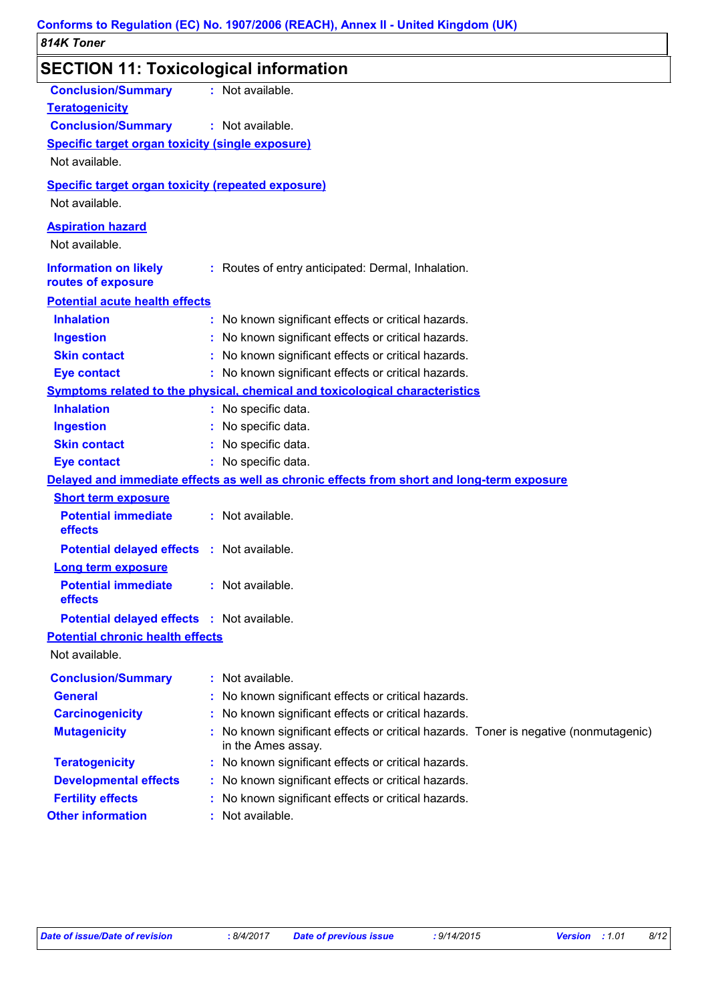| SECTION 11: Toxicological information                                                                                                      |                                                                                                            |
|--------------------------------------------------------------------------------------------------------------------------------------------|------------------------------------------------------------------------------------------------------------|
| <b>Conclusion/Summary</b><br><b>Teratogenicity</b><br><b>Conclusion/Summary</b><br><b>Specific target organ toxicity (single exposure)</b> | : Not available.<br>: Not available.                                                                       |
| Not available.                                                                                                                             |                                                                                                            |
| <b>Specific target organ toxicity (repeated exposure)</b>                                                                                  |                                                                                                            |
| Not available.                                                                                                                             |                                                                                                            |
| <b>Aspiration hazard</b><br>Not available.                                                                                                 |                                                                                                            |
| <b>Information on likely</b><br>routes of exposure                                                                                         | : Routes of entry anticipated: Dermal, Inhalation.                                                         |
| <b>Potential acute health effects</b>                                                                                                      |                                                                                                            |
| <b>Inhalation</b>                                                                                                                          | : No known significant effects or critical hazards.                                                        |
| <b>Ingestion</b>                                                                                                                           | : No known significant effects or critical hazards.                                                        |
| <b>Skin contact</b>                                                                                                                        | : No known significant effects or critical hazards.                                                        |
| <b>Eye contact</b>                                                                                                                         | : No known significant effects or critical hazards.                                                        |
|                                                                                                                                            | Symptoms related to the physical, chemical and toxicological characteristics                               |
| <b>Inhalation</b>                                                                                                                          | : No specific data.                                                                                        |
| <b>Ingestion</b>                                                                                                                           | : No specific data.                                                                                        |
| <b>Skin contact</b>                                                                                                                        | : No specific data.                                                                                        |
| <b>Eye contact</b>                                                                                                                         | : No specific data.                                                                                        |
|                                                                                                                                            | Delayed and immediate effects as well as chronic effects from short and long-term exposure                 |
| <b>Short term exposure</b>                                                                                                                 |                                                                                                            |
| <b>Potential immediate</b><br>effects                                                                                                      | : Not available.                                                                                           |
| <b>Potential delayed effects : Not available.</b>                                                                                          |                                                                                                            |
| <b>Long term exposure</b>                                                                                                                  |                                                                                                            |
| <b>Potential immediate</b><br>effects                                                                                                      | : Not available.                                                                                           |
| <b>Potential delayed effects : Not available.</b>                                                                                          |                                                                                                            |
| <b>Potential chronic health effects</b>                                                                                                    |                                                                                                            |
| Not available.                                                                                                                             |                                                                                                            |
| <b>Conclusion/Summary</b>                                                                                                                  | : Not available.                                                                                           |
| <b>General</b>                                                                                                                             | : No known significant effects or critical hazards.                                                        |
| <b>Carcinogenicity</b>                                                                                                                     | : No known significant effects or critical hazards.                                                        |
| <b>Mutagenicity</b>                                                                                                                        | : No known significant effects or critical hazards. Toner is negative (nonmutagenic)<br>in the Ames assay. |
| <b>Teratogenicity</b>                                                                                                                      | : No known significant effects or critical hazards.                                                        |
| <b>Developmental effects</b>                                                                                                               | : No known significant effects or critical hazards.                                                        |
| <b>Fertility effects</b>                                                                                                                   | : No known significant effects or critical hazards.                                                        |
| <b>Other information</b>                                                                                                                   | : Not available.                                                                                           |
|                                                                                                                                            |                                                                                                            |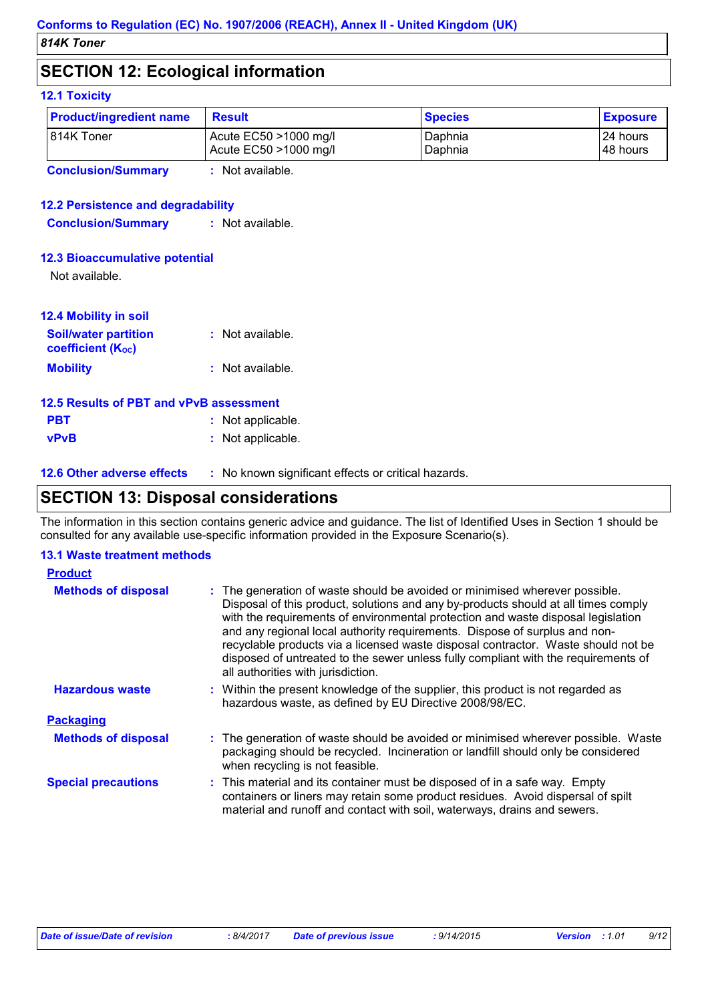# **SECTION 12: Ecological information**

### **12.1 Toxicity**

| <b>Product/ingredient name</b> | <b>Result</b>         | <b>Species</b> | <b>Exposure</b> |
|--------------------------------|-----------------------|----------------|-----------------|
| 1814K Toner                    | Acute EC50 >1000 mg/l | Daphnia        | 124 hours       |
|                                | Acute EC50 >1000 mg/l | Daphnia        | 148 hours       |

**Conclusion/Summary :** Not available.

### **12.2 Persistence and degradability**

**Conclusion/Summary :** Not available.

### **12.3 Bioaccumulative potential**

Not available.

| <b>12.4 Mobility in soil</b>                            |                  |
|---------------------------------------------------------|------------------|
| <b>Soil/water partition</b><br><b>coefficient (Koc)</b> | : Not available. |
| <b>Mobility</b>                                         | : Not available. |

| 12.5 Results of PBT and vPvB assessment |                   |  |  |
|-----------------------------------------|-------------------|--|--|
| <b>PBT</b>                              | : Not applicable. |  |  |
| <b>vPvB</b>                             | : Not applicable. |  |  |

**12.6 Other adverse effects** : No known significant effects or critical hazards.

### **SECTION 13: Disposal considerations**

The information in this section contains generic advice and guidance. The list of Identified Uses in Section 1 should be consulted for any available use-specific information provided in the Exposure Scenario(s).

### **13.1 Waste treatment methods**

| <b>Product</b>             |                                                                                                                                                                                                                                                                                                                                                                                                                                                                                                                                                      |
|----------------------------|------------------------------------------------------------------------------------------------------------------------------------------------------------------------------------------------------------------------------------------------------------------------------------------------------------------------------------------------------------------------------------------------------------------------------------------------------------------------------------------------------------------------------------------------------|
| <b>Methods of disposal</b> | : The generation of waste should be avoided or minimised wherever possible.<br>Disposal of this product, solutions and any by-products should at all times comply<br>with the requirements of environmental protection and waste disposal legislation<br>and any regional local authority requirements. Dispose of surplus and non-<br>recyclable products via a licensed waste disposal contractor. Waste should not be<br>disposed of untreated to the sewer unless fully compliant with the requirements of<br>all authorities with jurisdiction. |
| <b>Hazardous waste</b>     | : Within the present knowledge of the supplier, this product is not regarded as<br>hazardous waste, as defined by EU Directive 2008/98/EC.                                                                                                                                                                                                                                                                                                                                                                                                           |
| <b>Packaging</b>           |                                                                                                                                                                                                                                                                                                                                                                                                                                                                                                                                                      |
| <b>Methods of disposal</b> | : The generation of waste should be avoided or minimised wherever possible. Waste<br>packaging should be recycled. Incineration or landfill should only be considered<br>when recycling is not feasible.                                                                                                                                                                                                                                                                                                                                             |
| <b>Special precautions</b> | : This material and its container must be disposed of in a safe way. Empty<br>containers or liners may retain some product residues. Avoid dispersal of spilt<br>material and runoff and contact with soil, waterways, drains and sewers.                                                                                                                                                                                                                                                                                                            |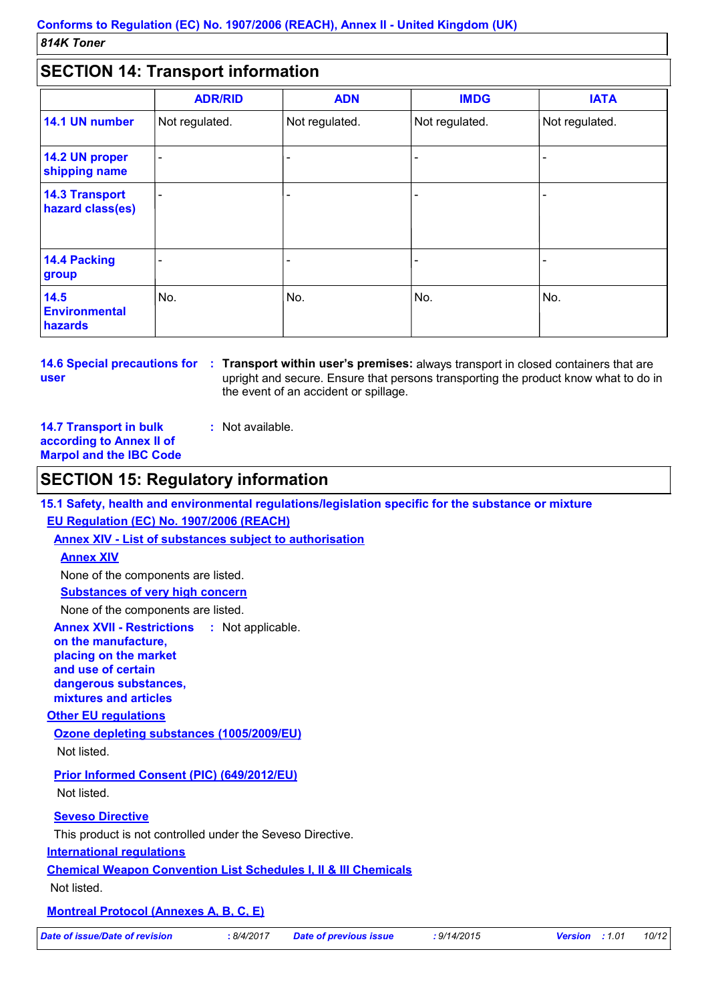# **SECTION 14: Transport information**

| <u>ULUITUITETTUUDEULIINUITIILUUT</u>      |                |                |                |                |
|-------------------------------------------|----------------|----------------|----------------|----------------|
|                                           | <b>ADR/RID</b> | <b>ADN</b>     | <b>IMDG</b>    | <b>IATA</b>    |
| 14.1 UN number                            | Not regulated. | Not regulated. | Not regulated. | Not regulated. |
| 14.2 UN proper<br>shipping name           |                |                |                |                |
| <b>14.3 Transport</b><br>hazard class(es) |                |                |                |                |
| 14.4 Packing<br>group                     |                |                |                |                |
| 14.5<br><b>Environmental</b><br>hazards   | No.            | No.            | No.            | No.            |

**user**

**14.6 Special precautions for : Transport within user's premises: always transport in closed containers that are** upright and secure. Ensure that persons transporting the product know what to do in the event of an accident or spillage.

**14.7 Transport in bulk according to Annex II of Marpol and the IBC Code :** Not available.

### **SECTION 15: Regulatory information**

**15.1 Safety, health and environmental regulations/legislation specific for the substance or mixture**

### **EU Regulation (EC) No. 1907/2006 (REACH)**

**Annex XIV - List of substances subject to authorisation**

### **Annex XIV**

None of the components are listed.

**Substances of very high concern**

None of the components are listed.

**Annex XVII - Restrictions on the manufacture, placing on the market and use of certain dangerous substances, mixtures and articles** : Not applicable.

#### **Other EU regulations**

**Ozone depleting substances (1005/2009/EU)** Not listed.

**Prior Informed Consent (PIC) (649/2012/EU)** Not listed.

**Seveso Directive**

This product is not controlled under the Seveso Directive.

### **International regulations**

**Chemical Weapon Convention List Schedules I, II & III Chemicals**

Not listed.

### **Montreal Protocol (Annexes A, B, C, E)**

*Date of issue/Date of revision* **:** *8/4/2017 Date of previous issue : 9/14/2015 Version : 1.01 10/12*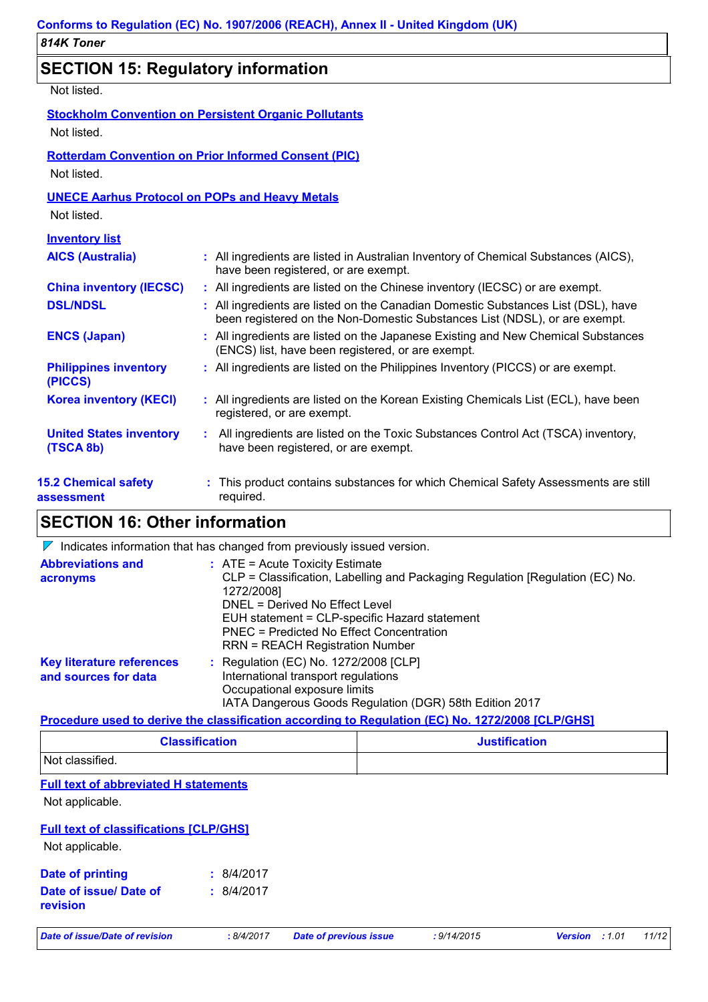# **SECTION 15: Regulatory information**

Not listed.

| Not listed.                                                          | <b>Stockholm Convention on Persistent Organic Pollutants</b>                                                                                                    |
|----------------------------------------------------------------------|-----------------------------------------------------------------------------------------------------------------------------------------------------------------|
| Not listed.                                                          | <b>Rotterdam Convention on Prior Informed Consent (PIC)</b>                                                                                                     |
| <b>UNECE Aarhus Protocol on POPs and Heavy Metals</b><br>Not listed. |                                                                                                                                                                 |
| <b>Inventory list</b>                                                |                                                                                                                                                                 |
| <b>AICS (Australia)</b>                                              | : All ingredients are listed in Australian Inventory of Chemical Substances (AICS),<br>have been registered, or are exempt.                                     |
| <b>China inventory (IECSC)</b>                                       | : All ingredients are listed on the Chinese inventory (IECSC) or are exempt.                                                                                    |
| <b>DSL/NDSL</b>                                                      | : All ingredients are listed on the Canadian Domestic Substances List (DSL), have<br>been registered on the Non-Domestic Substances List (NDSL), or are exempt. |
| <b>ENCS (Japan)</b>                                                  | : All ingredients are listed on the Japanese Existing and New Chemical Substances<br>(ENCS) list, have been registered, or are exempt.                          |
| <b>Philippines inventory</b><br>(PICCS)                              | : All ingredients are listed on the Philippines Inventory (PICCS) or are exempt.                                                                                |
| <b>Korea inventory (KECI)</b>                                        | : All ingredients are listed on the Korean Existing Chemicals List (ECL), have been<br>registered, or are exempt.                                               |
| <b>United States inventory</b><br>(TSCA 8b)                          | All ingredients are listed on the Toxic Substances Control Act (TSCA) inventory,<br>have been registered, or are exempt.                                        |
| <b>15.2 Chemical safety</b><br>assessment                            | This product contains substances for which Chemical Safety Assessments are still<br>required.                                                                   |

# **SECTION 16: Other information**

 $\nabla$  Indicates information that has changed from previously issued version.

| <b>Abbreviations and</b><br>acronyms                     | $:$ ATE = Acute Toxicity Estimate<br>CLP = Classification, Labelling and Packaging Regulation [Regulation (EC) No.<br>1272/2008]<br>DNEL = Derived No Effect Level<br>EUH statement = CLP-specific Hazard statement<br><b>PNEC = Predicted No Effect Concentration</b><br><b>RRN = REACH Registration Number</b> |
|----------------------------------------------------------|------------------------------------------------------------------------------------------------------------------------------------------------------------------------------------------------------------------------------------------------------------------------------------------------------------------|
| <b>Key literature references</b><br>and sources for data | $\therefore$ Regulation (EC) No. 1272/2008 [CLP]<br>International transport regulations<br>Occupational exposure limits<br>IATA Dangerous Goods Regulation (DGR) 58th Edition 2017                                                                                                                               |

### **Procedure used to derive the classification according to Regulation (EC) No. 1272/2008 [CLP/GHS]**

| <b>Classification</b> | <b>Justification</b> |
|-----------------------|----------------------|
| Not classified.       |                      |

### **Full text of abbreviated H statements**

Not applicable.

### **Full text of classifications [CLP/GHS]**

Not applicable.

| Date of printing                          | : 8/4/2017 |
|-------------------------------------------|------------|
| Date of issue/ Date of<br><b>revision</b> | : 8/4/2017 |

*Date of issue/Date of revision* **:** *8/4/2017 Date of previous issue : 9/14/2015 Version : 1.01 11/12*